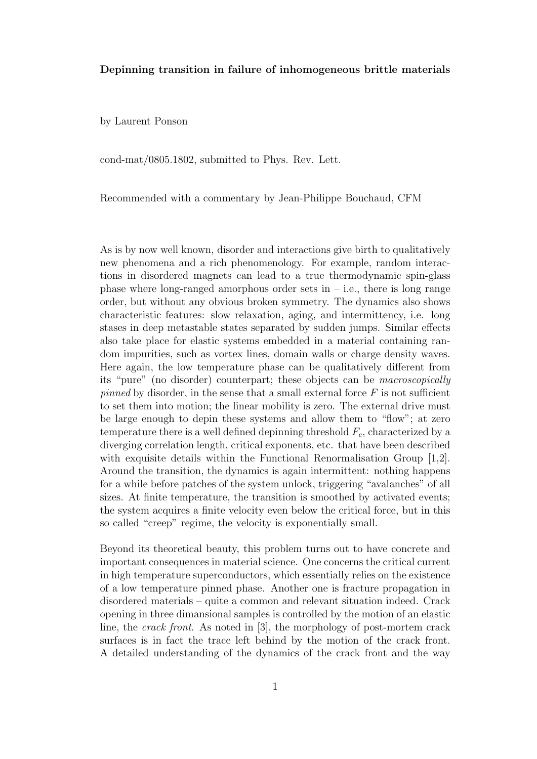## Depinning transition in failure of inhomogeneous brittle materials

by Laurent Ponson

cond-mat/0805.1802, submitted to Phys. Rev. Lett.

Recommended with a commentary by Jean-Philippe Bouchaud, CFM

As is by now well known, disorder and interactions give birth to qualitatively new phenomena and a rich phenomenology. For example, random interactions in disordered magnets can lead to a true thermodynamic spin-glass phase where long-ranged amorphous order sets in  $-$  i.e., there is long range order, but without any obvious broken symmetry. The dynamics also shows characteristic features: slow relaxation, aging, and intermittency, i.e. long stases in deep metastable states separated by sudden jumps. Similar effects also take place for elastic systems embedded in a material containing random impurities, such as vortex lines, domain walls or charge density waves. Here again, the low temperature phase can be qualitatively different from its "pure" (no disorder) counterpart; these objects can be macroscopically pinned by disorder, in the sense that a small external force  $F$  is not sufficient to set them into motion; the linear mobility is zero. The external drive must be large enough to depin these systems and allow them to "flow"; at zero temperature there is a well defined depinning threshold  $F_c$ , characterized by a diverging correlation length, critical exponents, etc. that have been described with exquisite details within the Functional Renormalisation Group [1,2]. Around the transition, the dynamics is again intermittent: nothing happens for a while before patches of the system unlock, triggering "avalanches" of all sizes. At finite temperature, the transition is smoothed by activated events; the system acquires a finite velocity even below the critical force, but in this so called "creep" regime, the velocity is exponentially small.

Beyond its theoretical beauty, this problem turns out to have concrete and important consequences in material science. One concerns the critical current in high temperature superconductors, which essentially relies on the existence of a low temperature pinned phase. Another one is fracture propagation in disordered materials – quite a common and relevant situation indeed. Crack opening in three dimansional samples is controlled by the motion of an elastic line, the crack front. As noted in [3], the morphology of post-mortem crack surfaces is in fact the trace left behind by the motion of the crack front. A detailed understanding of the dynamics of the crack front and the way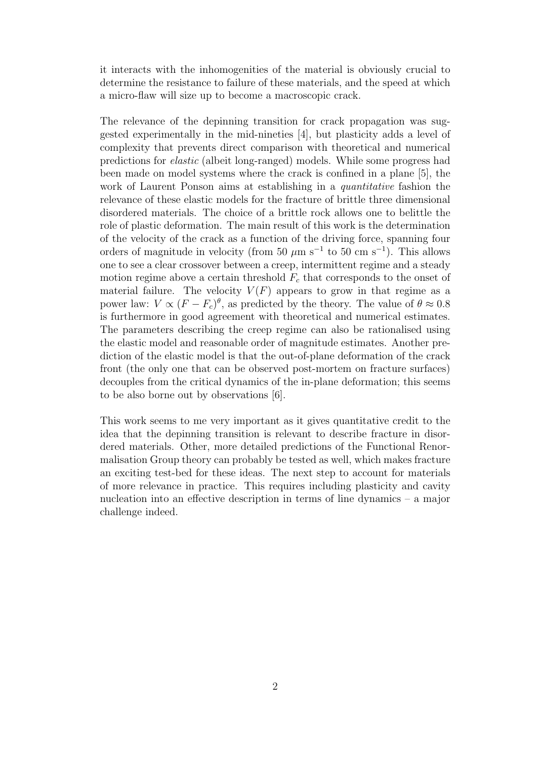it interacts with the inhomogenities of the material is obviously crucial to determine the resistance to failure of these materials, and the speed at which a micro-flaw will size up to become a macroscopic crack.

The relevance of the depinning transition for crack propagation was suggested experimentally in the mid-nineties [4], but plasticity adds a level of complexity that prevents direct comparison with theoretical and numerical predictions for elastic (albeit long-ranged) models. While some progress had been made on model systems where the crack is confined in a plane [5], the work of Laurent Ponson aims at establishing in a *quantitative* fashion the relevance of these elastic models for the fracture of brittle three dimensional disordered materials. The choice of a brittle rock allows one to belittle the role of plastic deformation. The main result of this work is the determination of the velocity of the crack as a function of the driving force, spanning four orders of magnitude in velocity (from 50  $\mu$ m s<sup>-1</sup> to 50 cm s<sup>-1</sup>). This allows one to see a clear crossover between a creep, intermittent regime and a steady motion regime above a certain threshold  $F_c$  that corresponds to the onset of material failure. The velocity  $V(F)$  appears to grow in that regime as a power law:  $V \propto (F - F_c)^{\theta}$ , as predicted by the theory. The value of  $\theta \approx 0.8$ is furthermore in good agreement with theoretical and numerical estimates. The parameters describing the creep regime can also be rationalised using the elastic model and reasonable order of magnitude estimates. Another prediction of the elastic model is that the out-of-plane deformation of the crack front (the only one that can be observed post-mortem on fracture surfaces) decouples from the critical dynamics of the in-plane deformation; this seems to be also borne out by observations [6].

This work seems to me very important as it gives quantitative credit to the idea that the depinning transition is relevant to describe fracture in disordered materials. Other, more detailed predictions of the Functional Renormalisation Group theory can probably be tested as well, which makes fracture an exciting test-bed for these ideas. The next step to account for materials of more relevance in practice. This requires including plasticity and cavity nucleation into an effective description in terms of line dynamics – a major challenge indeed.